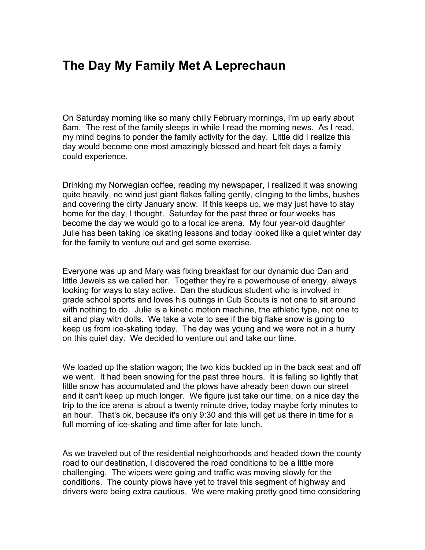## **The Day My Family Met A Leprechaun**

On Saturday morning like so many chilly February mornings, I'm up early about 6am. The rest of the family sleeps in while I read the morning news. As I read, my mind begins to ponder the family activity for the day. Little did I realize this day would become one most amazingly blessed and heart felt days a family could experience.

Drinking my Norwegian coffee, reading my newspaper, I realized it was snowing quite heavily, no wind just giant flakes falling gently, clinging to the limbs, bushes and covering the dirty January snow. If this keeps up, we may just have to stay home for the day, I thought. Saturday for the past three or four weeks has become the day we would go to a local ice arena. My four year-old daughter Julie has been taking ice skating lessons and today looked like a quiet winter day for the family to venture out and get some exercise.

Everyone was up and Mary was fixing breakfast for our dynamic duo Dan and little Jewels as we called her. Together they're a powerhouse of energy, always looking for ways to stay active. Dan the studious student who is involved in grade school sports and loves his outings in Cub Scouts is not one to sit around with nothing to do. Julie is a kinetic motion machine, the athletic type, not one to sit and play with dolls. We take a vote to see if the big flake snow is going to keep us from ice-skating today. The day was young and we were not in a hurry on this quiet day. We decided to venture out and take our time.

We loaded up the station wagon; the two kids buckled up in the back seat and off we went. It had been snowing for the past three hours. It is falling so lightly that little snow has accumulated and the plows have already been down our street and it can't keep up much longer. We figure just take our time, on a nice day the trip to the ice arena is about a twenty minute drive, today maybe forty minutes to an hour. That's ok, because it's only 9:30 and this will get us there in time for a full morning of ice-skating and time after for late lunch.

As we traveled out of the residential neighborhoods and headed down the county road to our destination, I discovered the road conditions to be a little more challenging. The wipers were going and traffic was moving slowly for the conditions. The county plows have yet to travel this segment of highway and drivers were being extra cautious. We were making pretty good time considering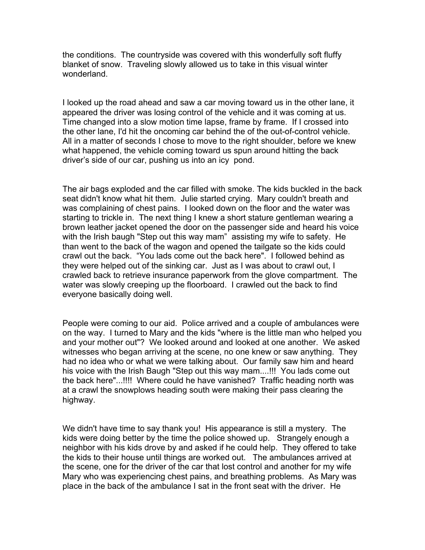the conditions. The countryside was covered with this wonderfully soft fluffy blanket of snow. Traveling slowly allowed us to take in this visual winter wonderland.

I looked up the road ahead and saw a car moving toward us in the other lane, it appeared the driver was losing control of the vehicle and it was coming at us. Time changed into a slow motion time lapse, frame by frame. If I crossed into the other lane, I'd hit the oncoming car behind the of the out-of-control vehicle. All in a matter of seconds I chose to move to the right shoulder, before we knew what happened, the vehicle coming toward us spun around hitting the back driver's side of our car, pushing us into an icy pond.

The air bags exploded and the car filled with smoke. The kids buckled in the back seat didn't know what hit them. Julie started crying. Mary couldn't breath and was complaining of chest pains. I looked down on the floor and the water was starting to trickle in. The next thing I knew a short stature gentleman wearing a brown leather jacket opened the door on the passenger side and heard his voice with the Irish baugh "Step out this way mam" assisting my wife to safety. He than went to the back of the wagon and opened the tailgate so the kids could crawl out the back. "You lads come out the back here". I followed behind as they were helped out of the sinking car. Just as I was about to crawl out, I crawled back to retrieve insurance paperwork from the glove compartment. The water was slowly creeping up the floorboard. I crawled out the back to find everyone basically doing well.

People were coming to our aid. Police arrived and a couple of ambulances were on the way. I turned to Mary and the kids "where is the little man who helped you and your mother out"? We looked around and looked at one another. We asked witnesses who began arriving at the scene, no one knew or saw anything. They had no idea who or what we were talking about. Our family saw him and heard his voice with the Irish Baugh "Step out this way mam....!!! You lads come out the back here"...!!!! Where could he have vanished? Traffic heading north was at a crawl the snowplows heading south were making their pass clearing the highway.

We didn't have time to say thank you! His appearance is still a mystery. The kids were doing better by the time the police showed up. Strangely enough a neighbor with his kids drove by and asked if he could help. They offered to take the kids to their house until things are worked out. The ambulances arrived at the scene, one for the driver of the car that lost control and another for my wife Mary who was experiencing chest pains, and breathing problems. As Mary was place in the back of the ambulance I sat in the front seat with the driver. He